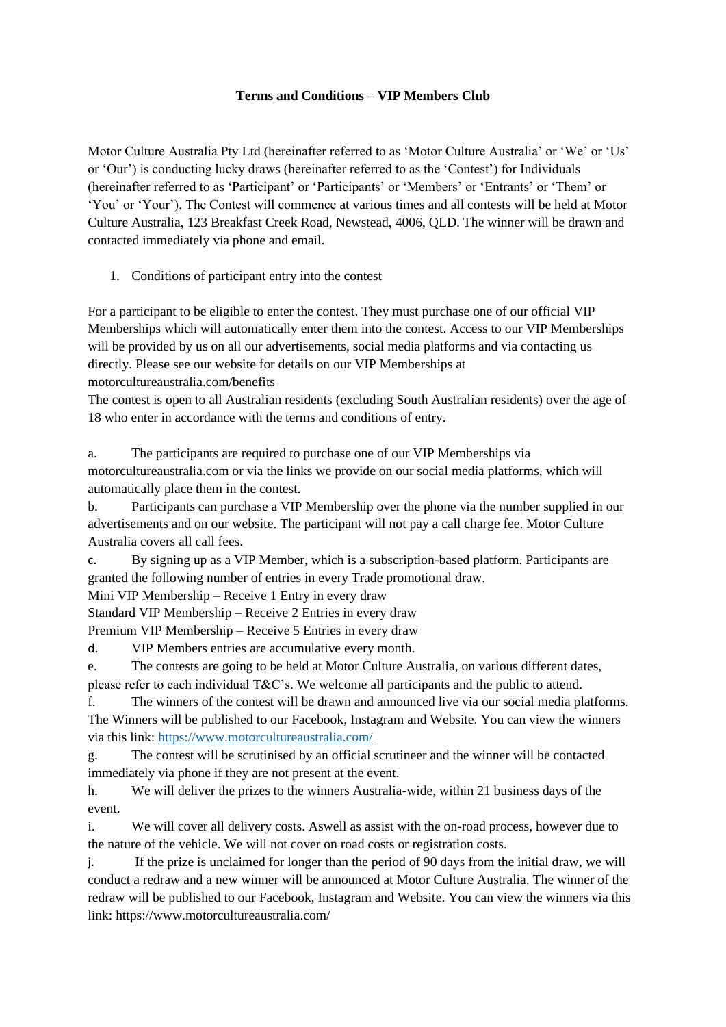## **Terms and Conditions – VIP Members Club**

Motor Culture Australia Pty Ltd (hereinafter referred to as 'Motor Culture Australia' or 'We' or 'Us' or 'Our') is conducting lucky draws (hereinafter referred to as the 'Contest') for Individuals (hereinafter referred to as 'Participant' or 'Participants' or 'Members' or 'Entrants' or 'Them' or 'You' or 'Your'). The Contest will commence at various times and all contests will be held at Motor Culture Australia, 123 Breakfast Creek Road, Newstead, 4006, QLD. The winner will be drawn and contacted immediately via phone and email.

1. Conditions of participant entry into the contest

For a participant to be eligible to enter the contest. They must purchase one of our official VIP Memberships which will automatically enter them into the contest. Access to our VIP Memberships will be provided by us on all our advertisements, social media platforms and via contacting us directly. Please see our website for details on our VIP Memberships at motorcultureaustralia.com/benefits

The contest is open to all Australian residents (excluding South Australian residents) over the age of 18 who enter in accordance with the terms and conditions of entry.

a. The participants are required to purchase one of our VIP Memberships via motorcultureaustralia.com or via the links we provide on our social media platforms, which will automatically place them in the contest.

b. Participants can purchase a VIP Membership over the phone via the number supplied in our advertisements and on our website. The participant will not pay a call charge fee. Motor Culture Australia covers all call fees.

c. By signing up as a VIP Member, which is a subscription-based platform. Participants are granted the following number of entries in every Trade promotional draw.

Mini VIP Membership – Receive 1 Entry in every draw

Standard VIP Membership – Receive 2 Entries in every draw

Premium VIP Membership – Receive 5 Entries in every draw

d. VIP Members entries are accumulative every month.

e. The contests are going to be held at Motor Culture Australia, on various different dates, please refer to each individual T&C's. We welcome all participants and the public to attend.

f. The winners of the contest will be drawn and announced live via our social media platforms. The Winners will be published to our Facebook, Instagram and Website. You can view the winners via this link:<https://www.motorcultureaustralia.com/>

g. The contest will be scrutinised by an official scrutineer and the winner will be contacted immediately via phone if they are not present at the event.

h. We will deliver the prizes to the winners Australia-wide, within 21 business days of the event.

i. We will cover all delivery costs. Aswell as assist with the on-road process, however due to the nature of the vehicle. We will not cover on road costs or registration costs.

j. If the prize is unclaimed for longer than the period of 90 days from the initial draw, we will conduct a redraw and a new winner will be announced at Motor Culture Australia. The winner of the redraw will be published to our Facebook, Instagram and Website. You can view the winners via this link: https://www.motorcultureaustralia.com/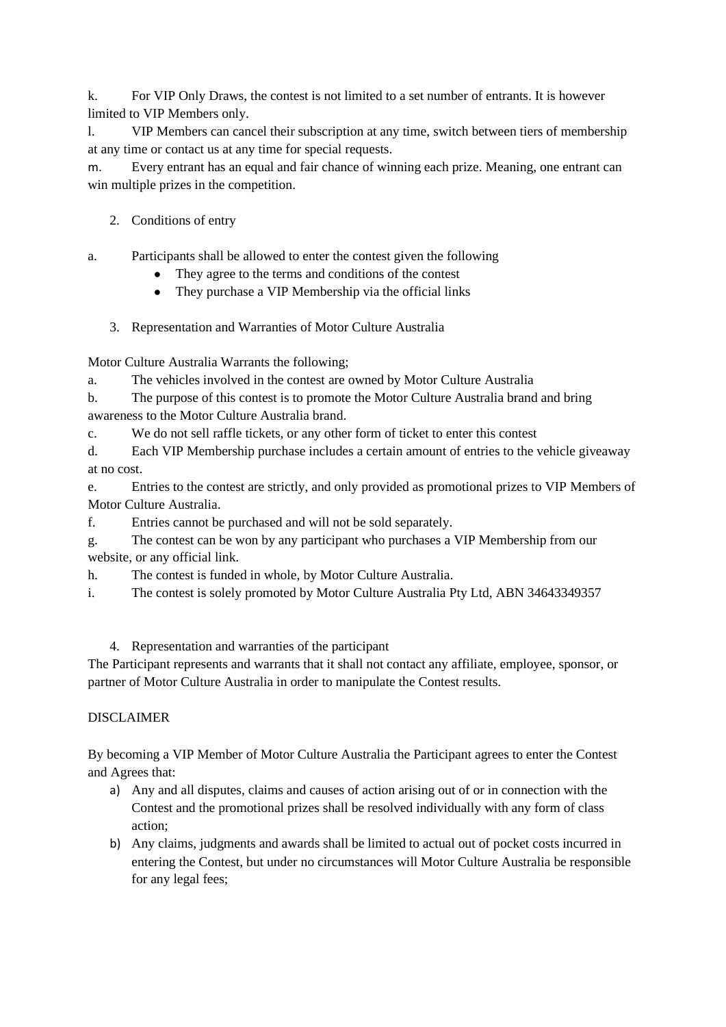k. For VIP Only Draws, the contest is not limited to a set number of entrants. It is however limited to VIP Members only.

l. VIP Members can cancel their subscription at any time, switch between tiers of membership at any time or contact us at any time for special requests.

m. Every entrant has an equal and fair chance of winning each prize. Meaning, one entrant can win multiple prizes in the competition.

2. Conditions of entry

a. Participants shall be allowed to enter the contest given the following

- They agree to the terms and conditions of the contest
- They purchase a VIP Membership via the official links
- 3. Representation and Warranties of Motor Culture Australia

Motor Culture Australia Warrants the following;

a. The vehicles involved in the contest are owned by Motor Culture Australia

| b. | The purpose of this contest is to promote the Motor Culture Australia brand and bring |
|----|---------------------------------------------------------------------------------------|
|    | awareness to the Motor Culture Australia brand.                                       |

c. We do not sell raffle tickets, or any other form of ticket to enter this contest

d. Each VIP Membership purchase includes a certain amount of entries to the vehicle giveaway at no cost.

e. Entries to the contest are strictly, and only provided as promotional prizes to VIP Members of Motor Culture Australia.

f. Entries cannot be purchased and will not be sold separately.

g. The contest can be won by any participant who purchases a VIP Membership from our website, or any official link.

h. The contest is funded in whole, by Motor Culture Australia.

i. The contest is solely promoted by Motor Culture Australia Pty Ltd, ABN 34643349357

4. Representation and warranties of the participant

The Participant represents and warrants that it shall not contact any affiliate, employee, sponsor, or partner of Motor Culture Australia in order to manipulate the Contest results.

## DISCLAIMER

By becoming a VIP Member of Motor Culture Australia the Participant agrees to enter the Contest and Agrees that:

- a) Any and all disputes, claims and causes of action arising out of or in connection with the Contest and the promotional prizes shall be resolved individually with any form of class action;
- b) Any claims, judgments and awards shall be limited to actual out of pocket costs incurred in entering the Contest, but under no circumstances will Motor Culture Australia be responsible for any legal fees;